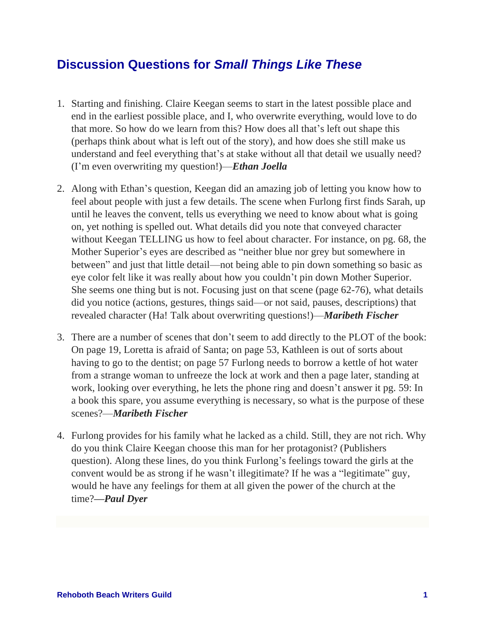## **Discussion Questions for** *Small Things Like These*

- 1. Starting and finishing. Claire Keegan seems to start in the latest possible place and end in the earliest possible place, and I, who overwrite everything, would love to do that more. So how do we learn from this? How does all that's left out shape this (perhaps think about what is left out of the story), and how does she still make us understand and feel everything that's at stake without all that detail we usually need? (I'm even overwriting my question!)—*Ethan Joella*
- 2. Along with Ethan's question, Keegan did an amazing job of letting you know how to feel about people with just a few details. The scene when Furlong first finds Sarah, up until he leaves the convent, tells us everything we need to know about what is going on, yet nothing is spelled out. What details did you note that conveyed character without Keegan TELLING us how to feel about character. For instance, on pg. 68, the Mother Superior's eyes are described as "neither blue nor grey but somewhere in between" and just that little detail—not being able to pin down something so basic as eye color felt like it was really about how you couldn't pin down Mother Superior. She seems one thing but is not. Focusing just on that scene (page 62-76), what details did you notice (actions, gestures, things said—or not said, pauses, descriptions) that revealed character (Ha! Talk about overwriting questions!)—*Maribeth Fischer*
- 3. There are a number of scenes that don't seem to add directly to the PLOT of the book: On page 19, Loretta is afraid of Santa; on page 53, Kathleen is out of sorts about having to go to the dentist; on page 57 Furlong needs to borrow a kettle of hot water from a strange woman to unfreeze the lock at work and then a page later, standing at work, looking over everything, he lets the phone ring and doesn't answer it pg. 59: In a book this spare, you assume everything is necessary, so what is the purpose of these scenes?—*Maribeth Fischer*
- 4. Furlong provides for his family what he lacked as a child. Still, they are not rich. Why do you think Claire Keegan choose this man for her protagonist? (Publishers question). Along these lines, do you think Furlong's feelings toward the girls at the convent would be as strong if he wasn't illegitimate? If he was a "legitimate" guy, would he have any feelings for them at all given the power of the church at the time?*—Paul Dyer*